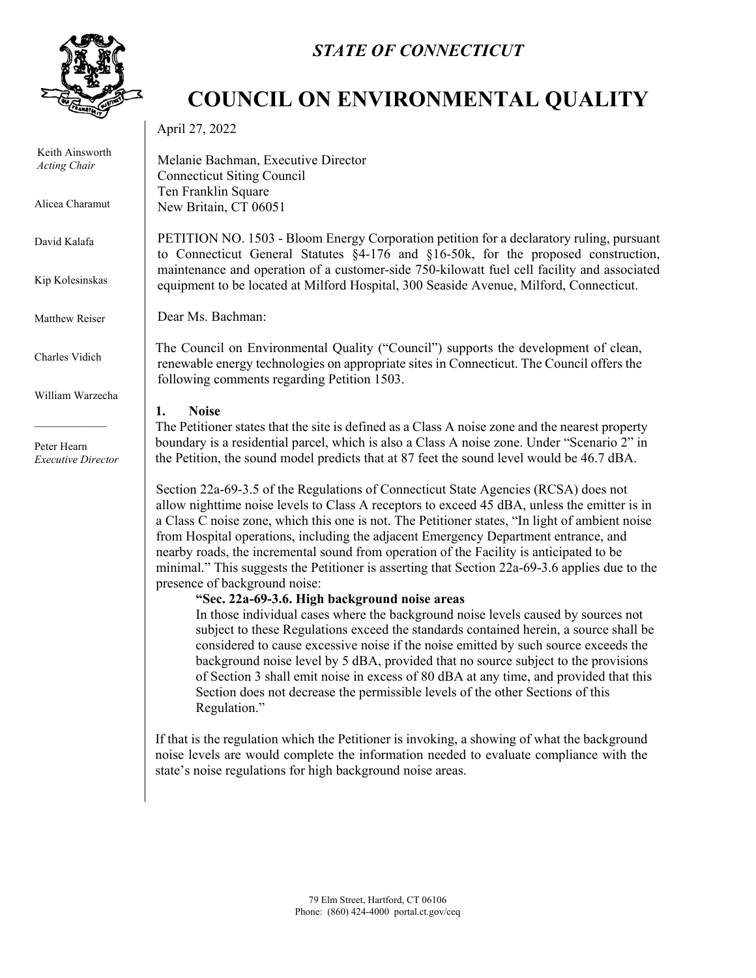

Keith Ainsworth *Acting Chair*

Alicea Charamut

David Kalafa

Kip Kolesinskas

Matthew Reiser

Charles Vidich

William Warzecha

Peter Hearn *Executive Director*

## *STATE OF CONNECTICUT*

## **COUNCIL ON ENVIRONMENTAL QUALITY**

April 27, 2022

Melanie Bachman, Executive Director Connecticut Siting Council Ten Franklin Square New Britain, CT 06051

PETITION NO. 1503 - Bloom Energy Corporation petition for a declaratory ruling, pursuant to Connecticut General Statutes §4-176 and §16-50k, for the proposed construction, maintenance and operation of a customer-side 750-kilowatt fuel cell facility and associated equipment to be located at Milford Hospital, 300 Seaside Avenue, Milford, Connecticut.

Dear Ms. Bachman:

The Council on Environmental Quality ("Council") supports the development of clean, renewable energy technologies on appropriate sites in Connecticut. The Council offers the following comments regarding Petition 1503.

## **1. Noise**

The Petitioner states that the site is defined as a Class A noise zone and the nearest property boundary is a residential parcel, which is also a Class A noise zone. Under "Scenario 2" in the Petition, the sound model predicts that at 87 feet the sound level would be 46.7 dBA.

Section 22a-69-3.5 of the Regulations of Connecticut State Agencies (RCSA) does not allow nighttime noise levels to Class A receptors to exceed 45 dBA, unless the emitter is in a Class C noise zone, which this one is not. The Petitioner states, "In light of ambient noise from Hospital operations, including the adjacent Emergency Department entrance, and nearby roads, the incremental sound from operation of the Facility is anticipated to be minimal." This suggests the Petitioner is asserting that Section 22a-69-3.6 applies due to the presence of background noise:

## **"Sec. 22a-69-3.6. High background noise areas**

In those individual cases where the background noise levels caused by sources not subject to these Regulations exceed the standards contained herein, a source shall be considered to cause excessive noise if the noise emitted by such source exceeds the background noise level by 5 dBA, provided that no source subject to the provisions of Section 3 shall emit noise in excess of 80 dBA at any time, and provided that this Section does not decrease the permissible levels of the other Sections of this Regulation."

If that is the regulation which the Petitioner is invoking, a showing of what the background noise levels are would complete the information needed to evaluate compliance with the state's noise regulations for high background noise areas.